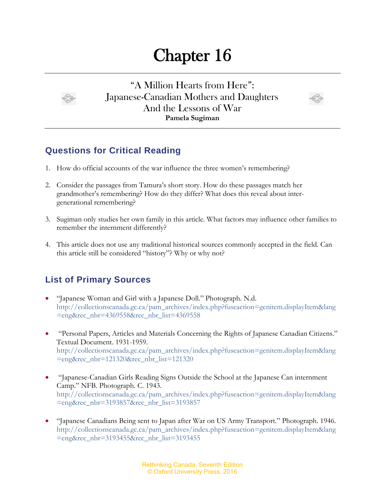## Chapter 16



"A Million Hearts from Here": Japanese-Canadian Mothers and Daughters And the Lessons of War **Pamela Sugiman**



## **Questions for Critical Reading**

- 1. How do official accounts of the war influence the three women's remembering?
- 2. Consider the passages from Tamura's short story. How do these passages match her grandmother's remembering? How do they differ? What does this reveal about intergenerational remembering?
- 3. Sugiman only studies her own family in this article. What factors may influence other families to remember the internment differently?
- 4. This article does not use any traditional historical sources commonly accepted in the field. Can this article still be considered "history"? Why or why not?

## **List of Primary Sources**

- "Japanese Woman and Girl with a Japanese Doll." Photograph. N.d. [http://collectionscanada.gc.ca/pam\\_archives/index.php?fuseaction=genitem.displayItem&lang](http://collectionscanada.gc.ca/pam_archives/index.php?fuseaction=genitem.displayItem&lang=eng&rec_nbr=4369558&rec_nbr_list=4369558) [=eng&rec\\_nbr=4369558&rec\\_nbr\\_list=4369558](http://collectionscanada.gc.ca/pam_archives/index.php?fuseaction=genitem.displayItem&lang=eng&rec_nbr=4369558&rec_nbr_list=4369558)
- "Personal Papers, Articles and Materials Concerning the Rights of Japanese Canadian Citizens." Textual Document. 1931-1959. [http://collectionscanada.gc.ca/pam\\_archives/index.php?fuseaction=genitem.displayItem&lang](http://collectionscanada.gc.ca/pam_archives/index.php?fuseaction=genitem.displayItem&lang=eng&rec_nbr=121320&rec_nbr_list=121320) [=eng&rec\\_nbr=121320&rec\\_nbr\\_list=121320](http://collectionscanada.gc.ca/pam_archives/index.php?fuseaction=genitem.displayItem&lang=eng&rec_nbr=121320&rec_nbr_list=121320)
- "Japanese-Canadian Girls Reading Signs Outside the School at the Japanese Can internment Camp." NFB. Photograph. C. 1943. [http://collectionscanada.gc.ca/pam\\_archives/index.php?fuseaction=genitem.displayItem&lang](http://collectionscanada.gc.ca/pam_archives/index.php?fuseaction=genitem.displayItem&lang=eng&rec_nbr=3193857&rec_nbr_list=3193857) [=eng&rec\\_nbr=3193857&rec\\_nbr\\_list=3193857](http://collectionscanada.gc.ca/pam_archives/index.php?fuseaction=genitem.displayItem&lang=eng&rec_nbr=3193857&rec_nbr_list=3193857)
- "Japanese Canadians Being sent to Japan after War on US Army Transport." Photograph. 1946. [http://collectionscanada.gc.ca/pam\\_archives/index.php?fuseaction=genitem.displayItem&lang](http://collectionscanada.gc.ca/pam_archives/index.php?fuseaction=genitem.displayItem&lang=eng&rec_nbr=3193455&rec_nbr_list=3193455) [=eng&rec\\_nbr=3193455&rec\\_nbr\\_list=3193455](http://collectionscanada.gc.ca/pam_archives/index.php?fuseaction=genitem.displayItem&lang=eng&rec_nbr=3193455&rec_nbr_list=3193455)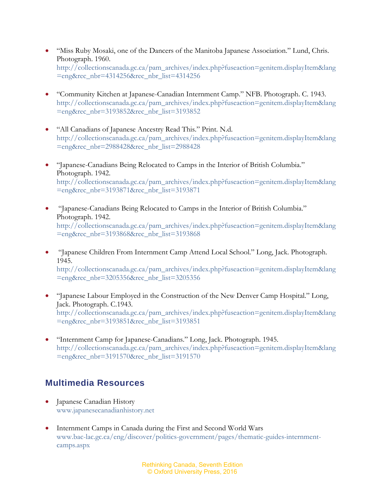- "Miss Ruby Mosaki, one of the Dancers of the Manitoba Japanese Association." Lund, Chris. Photograph. 1960. [http://collectionscanada.gc.ca/pam\\_archives/index.php?fuseaction=genitem.displayItem&lang](http://collectionscanada.gc.ca/pam_archives/index.php?fuseaction=genitem.displayItem&lang=eng&rec_nbr=4314256&rec_nbr_list=4314256) [=eng&rec\\_nbr=4314256&rec\\_nbr\\_list=4314256](http://collectionscanada.gc.ca/pam_archives/index.php?fuseaction=genitem.displayItem&lang=eng&rec_nbr=4314256&rec_nbr_list=4314256)
- "Community Kitchen at Japanese-Canadian Internment Camp." NFB. Photograph. C. 1943. [http://collectionscanada.gc.ca/pam\\_archives/index.php?fuseaction=genitem.displayItem&lang](http://collectionscanada.gc.ca/pam_archives/index.php?fuseaction=genitem.displayItem&lang=eng&rec_nbr=3193852&rec_nbr_list=3193852) [=eng&rec\\_nbr=3193852&rec\\_nbr\\_list=3193852](http://collectionscanada.gc.ca/pam_archives/index.php?fuseaction=genitem.displayItem&lang=eng&rec_nbr=3193852&rec_nbr_list=3193852)
- "All Canadians of Japanese Ancestry Read This." Print. N.d. [http://collectionscanada.gc.ca/pam\\_archives/index.php?fuseaction=genitem.displayItem&lang](http://collectionscanada.gc.ca/pam_archives/index.php?fuseaction=genitem.displayItem&lang=eng&rec_nbr=2988428&rec_nbr_list=2988428) [=eng&rec\\_nbr=2988428&rec\\_nbr\\_list=2988428](http://collectionscanada.gc.ca/pam_archives/index.php?fuseaction=genitem.displayItem&lang=eng&rec_nbr=2988428&rec_nbr_list=2988428)
- "Japanese-Canadians Being Relocated to Camps in the Interior of British Columbia." Photograph. 1942. [http://collectionscanada.gc.ca/pam\\_archives/index.php?fuseaction=genitem.displayItem&lang](http://collectionscanada.gc.ca/pam_archives/index.php?fuseaction=genitem.displayItem&lang=eng&rec_nbr=3193871&rec_nbr_list=3193871) [=eng&rec\\_nbr=3193871&rec\\_nbr\\_list=3193871](http://collectionscanada.gc.ca/pam_archives/index.php?fuseaction=genitem.displayItem&lang=eng&rec_nbr=3193871&rec_nbr_list=3193871)
- "Japanese-Canadians Being Relocated to Camps in the Interior of British Columbia." Photograph. 1942. [http://collectionscanada.gc.ca/pam\\_archives/index.php?fuseaction=genitem.displayItem&lang](http://collectionscanada.gc.ca/pam_archives/index.php?fuseaction=genitem.displayItem&lang=eng&rec_nbr=3193868&rec_nbr_list=3193868) [=eng&rec\\_nbr=3193868&rec\\_nbr\\_list=3193868](http://collectionscanada.gc.ca/pam_archives/index.php?fuseaction=genitem.displayItem&lang=eng&rec_nbr=3193868&rec_nbr_list=3193868)
- "Japanese Children From Internment Camp Attend Local School." Long, Jack. Photograph. 1945. [http://collectionscanada.gc.ca/pam\\_archives/index.php?fuseaction=genitem.displayItem&lang](http://collectionscanada.gc.ca/pam_archives/index.php?fuseaction=genitem.displayItem&lang=eng&rec_nbr=3205356&rec_nbr_list=3205356) [=eng&rec\\_nbr=3205356&rec\\_nbr\\_list=3205356](http://collectionscanada.gc.ca/pam_archives/index.php?fuseaction=genitem.displayItem&lang=eng&rec_nbr=3205356&rec_nbr_list=3205356)
- "Japanese Labour Employed in the Construction of the New Denver Camp Hospital." Long, Jack. Photograph. C.1943. [http://collectionscanada.gc.ca/pam\\_archives/index.php?fuseaction=genitem.displayItem&lang](http://collectionscanada.gc.ca/pam_archives/index.php?fuseaction=genitem.displayItem&lang=eng&rec_nbr=3193851&rec_nbr_list=3193851) [=eng&rec\\_nbr=3193851&rec\\_nbr\\_list=3193851](http://collectionscanada.gc.ca/pam_archives/index.php?fuseaction=genitem.displayItem&lang=eng&rec_nbr=3193851&rec_nbr_list=3193851)
- "Internment Camp for Japanese-Canadians." Long, Jack. Photograph. 1945. [http://collectionscanada.gc.ca/pam\\_archives/index.php?fuseaction=genitem.displayItem&lang](http://collectionscanada.gc.ca/pam_archives/index.php?fuseaction=genitem.displayItem&lang=eng&rec_nbr=3191570&rec_nbr_list=3191570) [=eng&rec\\_nbr=3191570&rec\\_nbr\\_list=3191570](http://collectionscanada.gc.ca/pam_archives/index.php?fuseaction=genitem.displayItem&lang=eng&rec_nbr=3191570&rec_nbr_list=3191570)

## **Multimedia Resources**

- Japanese Canadian History [www.japanesecanadianhistory.net](http://www.japanesecanadianhistory.net/)
- Internment Camps in Canada during the First and Second World Wars [www.bac-lac.gc.ca/eng/discover/politics-government/pages/thematic-guides-internment](http://www.bac-lac.gc.ca/eng/discover/politics-government/pages/thematic-guides-internment-camps.aspx)[camps.aspx](http://www.bac-lac.gc.ca/eng/discover/politics-government/pages/thematic-guides-internment-camps.aspx)

Rethinking Canada, Seventh Edition © Oxford University Press, 2016